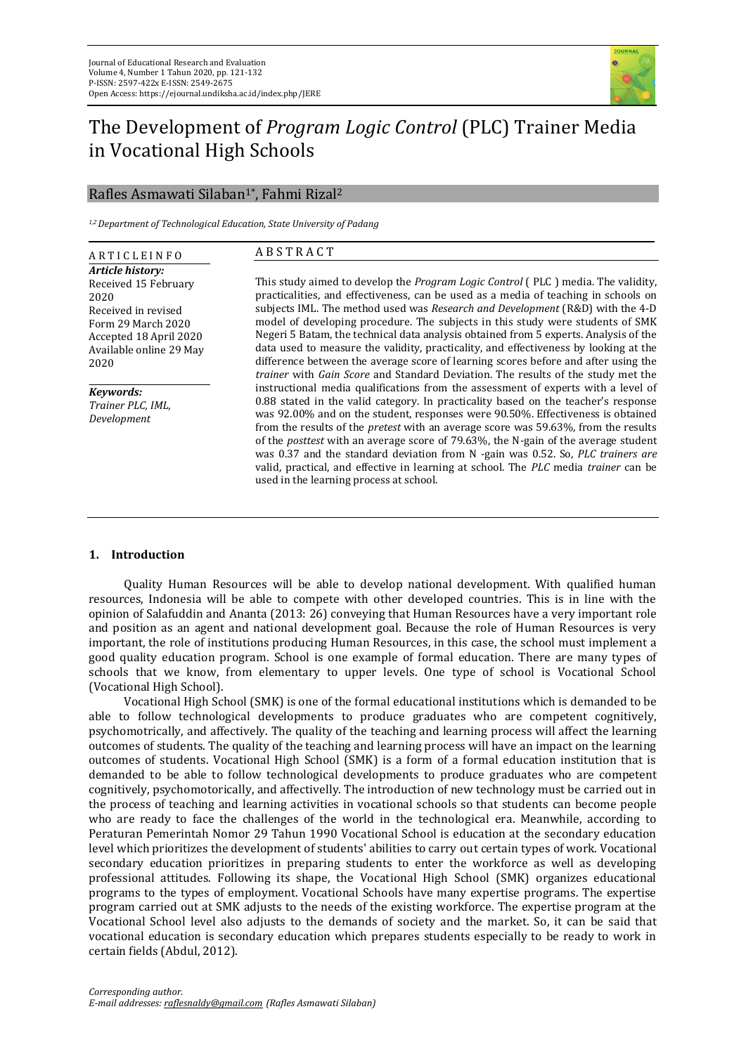

# The Development of *Program Logic Control* (PLC) Trainer Media in Vocational High Schools

## Rafles Asmawati Silaban1\*, Fahmi Rizal<sup>2</sup>

*1,2 Department of Technological Education, State University of Padang*

| <b>ARTICLEINFO</b>                                                                                                                                         | <b>ABSTRACT</b>                                                                                                                                                                                                                                                                                                                                                                                                                                                                                                                                                                                                                                                                                             |
|------------------------------------------------------------------------------------------------------------------------------------------------------------|-------------------------------------------------------------------------------------------------------------------------------------------------------------------------------------------------------------------------------------------------------------------------------------------------------------------------------------------------------------------------------------------------------------------------------------------------------------------------------------------------------------------------------------------------------------------------------------------------------------------------------------------------------------------------------------------------------------|
| Article history:<br>Received 15 February<br>2020<br>Received in revised<br>Form 29 March 2020<br>Accepted 18 April 2020<br>Available online 29 May<br>2020 | This study aimed to develop the <i>Program Logic Control</i> (PLC) media. The validity,<br>practicalities, and effectiveness, can be used as a media of teaching in schools on<br>subjects IML. The method used was Research and Development (R&D) with the 4-D<br>model of developing procedure. The subjects in this study were students of SMK<br>Negeri 5 Batam, the technical data analysis obtained from 5 experts. Analysis of the<br>data used to measure the validity, practicality, and effectiveness by looking at the<br>difference between the average score of learning scores before and after using the<br>trainer with Gain Score and Standard Deviation. The results of the study met the |
| Kevwords:<br>Trainer PLC, IML,<br>Development                                                                                                              | instructional media qualifications from the assessment of experts with a level of<br>0.88 stated in the valid category. In practicality based on the teacher's response<br>was 92.00% and on the student, responses were 90.50%. Effectiveness is obtained<br>from the results of the <i>pretest</i> with an average score was 59.63%, from the results<br>of the <i>posttest</i> with an average score of 79.63%, the N-gain of the average student<br>was 0.37 and the standard deviation from N -gain was 0.52. So, PLC trainers are<br>valid, practical, and effective in learning at school. The PLC media trainer can be<br>used in the learning process at school.                                   |

## **1. Introduction**

Quality Human Resources will be able to develop national development. With qualified human resources, Indonesia will be able to compete with other developed countries. This is in line with the opinion of Salafuddin and Ananta (2013: 26) conveying that Human Resources have a very important role and position as an agent and national development goal. Because the role of Human Resources is very important, the role of institutions producing Human Resources, in this case, the school must implement a good quality education program. School is one example of formal education. There are many types of schools that we know, from elementary to upper levels. One type of school is Vocational School (Vocational High School).

Vocational High School (SMK) is one of the formal educational institutions which is demanded to be able to follow technological developments to produce graduates who are competent cognitively, psychomotrically, and affectively. The quality of the teaching and learning process will affect the learning outcomes of students. The quality of the teaching and learning process will have an impact on the learning outcomes of students. Vocational High School (SMK) is a form of a formal education institution that is demanded to be able to follow technological developments to produce graduates who are competent cognitively, psychomotorically, and affectivelly. The introduction of new technology must be carried out in the process of teaching and learning activities in vocational schools so that students can become people who are ready to face the challenges of the world in the technological era. Meanwhile, according to Peraturan Pemerintah Nomor 29 Tahun 1990 Vocational School is education at the secondary education level which prioritizes the development of students' abilities to carry out certain types of work. Vocational secondary education prioritizes in preparing students to enter the workforce as well as developing professional attitudes. Following its shape, the Vocational High School (SMK) organizes educational programs to the types of employment. Vocational Schools have many expertise programs. The expertise program carried out at SMK adjusts to the needs of the existing workforce. The expertise program at the Vocational School level also adjusts to the demands of society and the market. So, it can be said that vocational education is secondary education which prepares students especially to be ready to work in certain fields (Abdul, 2012).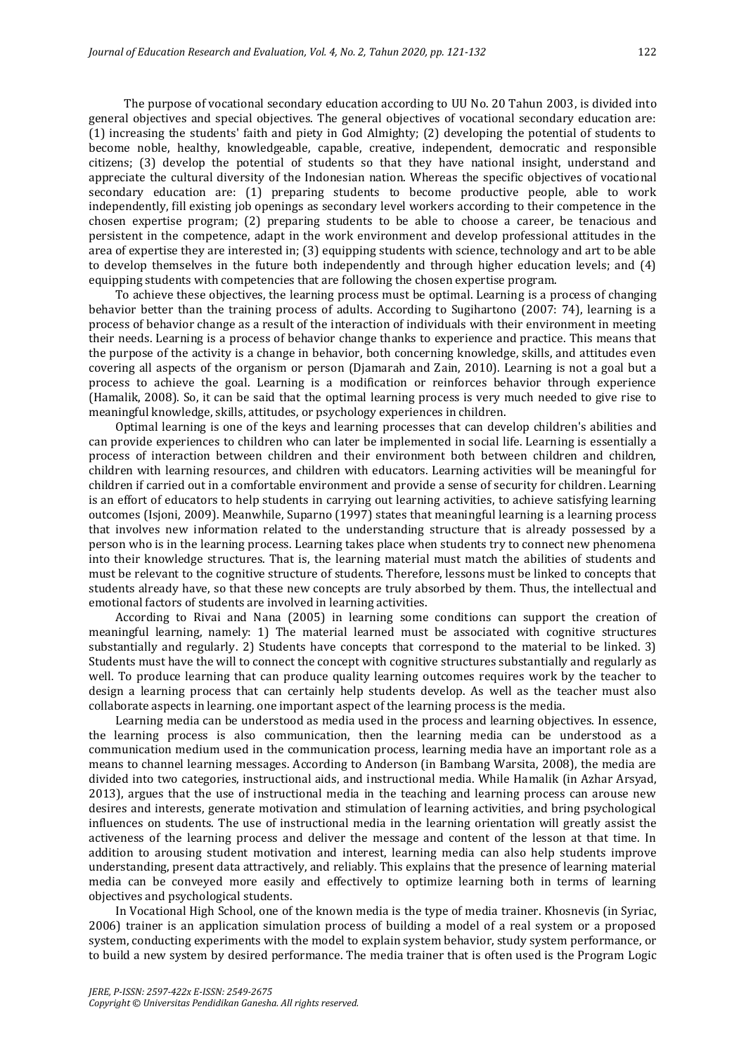The purpose of vocational secondary education according to UU No. 20 Tahun 2003, is divided into general objectives and special objectives. The general objectives of vocational secondary education are: (1) increasing the students' faith and piety in God Almighty; (2) developing the potential of students to become noble, healthy, knowledgeable, capable, creative, independent, democratic and responsible citizens; (3) develop the potential of students so that they have national insight, understand and appreciate the cultural diversity of the Indonesian nation. Whereas the specific objectives of vocational secondary education are: (1) preparing students to become productive people, able to work independently, fill existing job openings as secondary level workers according to their competence in the chosen expertise program; (2) preparing students to be able to choose a career, be tenacious and persistent in the competence, adapt in the work environment and develop professional attitudes in the area of expertise they are interested in; (3) equipping students with science, technology and art to be able to develop themselves in the future both independently and through higher education levels; and (4) equipping students with competencies that are following the chosen expertise program.

To achieve these objectives, the learning process must be optimal. Learning is a process of changing behavior better than the training process of adults. According to Sugihartono (2007: 74), learning is a process of behavior change as a result of the interaction of individuals with their environment in meeting their needs. Learning is a process of behavior change thanks to experience and practice. This means that the purpose of the activity is a change in behavior, both concerning knowledge, skills, and attitudes even covering all aspects of the organism or person (Djamarah and Zain, 2010). Learning is not a goal but a process to achieve the goal. Learning is a modification or reinforces behavior through experience (Hamalik, 2008). So, it can be said that the optimal learning process is very much needed to give rise to meaningful knowledge, skills, attitudes, or psychology experiences in children.

Optimal learning is one of the keys and learning processes that can develop children's abilities and can provide experiences to children who can later be implemented in social life. Learning is essentially a process of interaction between children and their environment both between children and children, children with learning resources, and children with educators. Learning activities will be meaningful for children if carried out in a comfortable environment and provide a sense of security for children. Learning is an effort of educators to help students in carrying out learning activities, to achieve satisfying learning outcomes (Isjoni, 2009). Meanwhile, Suparno (1997) states that meaningful learning is a learning process that involves new information related to the understanding structure that is already possessed by a person who is in the learning process. Learning takes place when students try to connect new phenomena into their knowledge structures. That is, the learning material must match the abilities of students and must be relevant to the cognitive structure of students. Therefore, lessons must be linked to concepts that students already have, so that these new concepts are truly absorbed by them. Thus, the intellectual and emotional factors of students are involved in learning activities.

According to Rivai and Nana (2005) in learning some conditions can support the creation of meaningful learning, namely: 1) The material learned must be associated with cognitive structures substantially and regularly. 2) Students have concepts that correspond to the material to be linked. 3) Students must have the will to connect the concept with cognitive structures substantially and regularly as well. To produce learning that can produce quality learning outcomes requires work by the teacher to design a learning process that can certainly help students develop. As well as the teacher must also collaborate aspects in learning. one important aspect of the learning process is the media.

Learning media can be understood as media used in the process and learning objectives. In essence, the learning process is also communication, then the learning media can be understood as a communication medium used in the communication process, learning media have an important role as a means to channel learning messages. According to Anderson (in Bambang Warsita, 2008), the media are divided into two categories, instructional aids, and instructional media. While Hamalik (in Azhar Arsyad, 2013), argues that the use of instructional media in the teaching and learning process can arouse new desires and interests, generate motivation and stimulation of learning activities, and bring psychological influences on students. The use of instructional media in the learning orientation will greatly assist the activeness of the learning process and deliver the message and content of the lesson at that time. In addition to arousing student motivation and interest, learning media can also help students improve understanding, present data attractively, and reliably. This explains that the presence of learning material media can be conveyed more easily and effectively to optimize learning both in terms of learning objectives and psychological students.

In Vocational High School, one of the known media is the type of media trainer. Khosnevis (in Syriac, 2006) trainer is an application simulation process of building a model of a real system or a proposed system, conducting experiments with the model to explain system behavior, study system performance, or to build a new system by desired performance. The media trainer that is often used is the Program Logic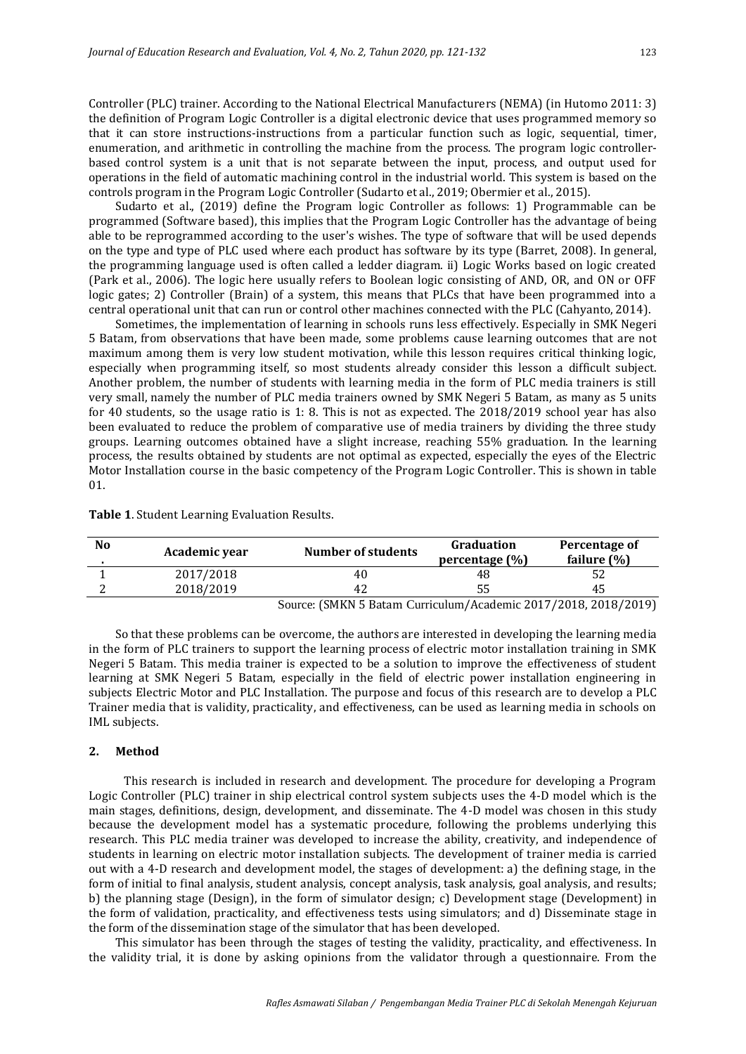Controller (PLC) trainer. According to the National Electrical Manufacturers (NEMA) (in Hutomo 2011: 3) the definition of Program Logic Controller is a digital electronic device that uses programmed memory so that it can store instructions-instructions from a particular function such as logic, sequential, timer, enumeration, and arithmetic in controlling the machine from the process. The program logic controllerbased control system is a unit that is not separate between the input, process, and output used for operations in the field of automatic machining control in the industrial world. This system is based on the controls program in the Program Logic Controller (Sudarto et al., 2019; Obermier et al., 2015).

Sudarto et al., (2019) define the Program logic Controller as follows: 1) Programmable can be programmed (Software based), this implies that the Program Logic Controller has the advantage of being able to be reprogrammed according to the user's wishes. The type of software that will be used depends on the type and type of PLC used where each product has software by its type (Barret, 2008). In general, the programming language used is often called a ledder diagram. ii) Logic Works based on logic created (Park et al., 2006). The logic here usually refers to Boolean logic consisting of AND, OR, and ON or OFF logic gates; 2) Controller (Brain) of a system, this means that PLCs that have been programmed into a central operational unit that can run or control other machines connected with the PLC (Cahyanto, 2014).

Sometimes, the implementation of learning in schools runs less effectively. Especially in SMK Negeri 5 Batam, from observations that have been made, some problems cause learning outcomes that are not maximum among them is very low student motivation, while this lesson requires critical thinking logic, especially when programming itself, so most students already consider this lesson a difficult subject. Another problem, the number of students with learning media in the form of PLC media trainers is still very small, namely the number of PLC media trainers owned by SMK Negeri 5 Batam, as many as 5 units for 40 students, so the usage ratio is 1: 8. This is not as expected. The 2018/2019 school year has also been evaluated to reduce the problem of comparative use of media trainers by dividing the three study groups. Learning outcomes obtained have a slight increase, reaching 55% graduation. In the learning process, the results obtained by students are not optimal as expected, especially the eyes of the Electric Motor Installation course in the basic competency of the Program Logic Controller. This is shown in table 01.

| No | Academic year | Number of students                                                                                                                                                                                                                                                                                                                                         | Graduation<br>percentage $(\% )$ | Percentage of<br>failure $(\%)$ |
|----|---------------|------------------------------------------------------------------------------------------------------------------------------------------------------------------------------------------------------------------------------------------------------------------------------------------------------------------------------------------------------------|----------------------------------|---------------------------------|
|    | 2017/2018     | 40                                                                                                                                                                                                                                                                                                                                                         | 48                               |                                 |
|    | 2018/2019     | 42                                                                                                                                                                                                                                                                                                                                                         |                                  |                                 |
|    |               | $\alpha$ (CMINIF D $\alpha$ , $\alpha$ , $\alpha$ , $\alpha$ , $\alpha$ , $\alpha$ , $\alpha$ , $\alpha$ , $\alpha$ , $\alpha$ , $\alpha$ , $\alpha$ , $\alpha$ , $\alpha$ , $\alpha$ , $\alpha$ , $\alpha$ , $\alpha$ , $\alpha$ , $\alpha$ , $\alpha$ , $\alpha$ , $\alpha$ , $\alpha$ , $\alpha$ , $\alpha$ , $\alpha$ , $\alpha$ , $\alpha$ , $\alpha$ |                                  |                                 |

**Table 1**. Student Learning Evaluation Results.

Source: (SMKN 5 Batam Curriculum/Academic 2017/2018, 2018/2019)

So that these problems can be overcome, the authors are interested in developing the learning media in the form of PLC trainers to support the learning process of electric motor installation training in SMK Negeri 5 Batam. This media trainer is expected to be a solution to improve the effectiveness of student learning at SMK Negeri 5 Batam, especially in the field of electric power installation engineering in subjects Electric Motor and PLC Installation. The purpose and focus of this research are to develop a PLC Trainer media that is validity, practicality, and effectiveness, can be used as learning media in schools on IML subjects.

#### **2. Method**

This research is included in research and development. The procedure for developing a Program Logic Controller (PLC) trainer in ship electrical control system subjects uses the 4-D model which is the main stages, definitions, design, development, and disseminate. The 4-D model was chosen in this study because the development model has a systematic procedure, following the problems underlying this research. This PLC media trainer was developed to increase the ability, creativity, and independence of students in learning on electric motor installation subjects. The development of trainer media is carried out with a 4-D research and development model, the stages of development: a) the defining stage, in the form of initial to final analysis, student analysis, concept analysis, task analysis, goal analysis, and results; b) the planning stage (Design), in the form of simulator design; c) Development stage (Development) in the form of validation, practicality, and effectiveness tests using simulators; and d) Disseminate stage in the form of the dissemination stage of the simulator that has been developed.

This simulator has been through the stages of testing the validity, practicality, and effectiveness. In the validity trial, it is done by asking opinions from the validator through a questionnaire. From the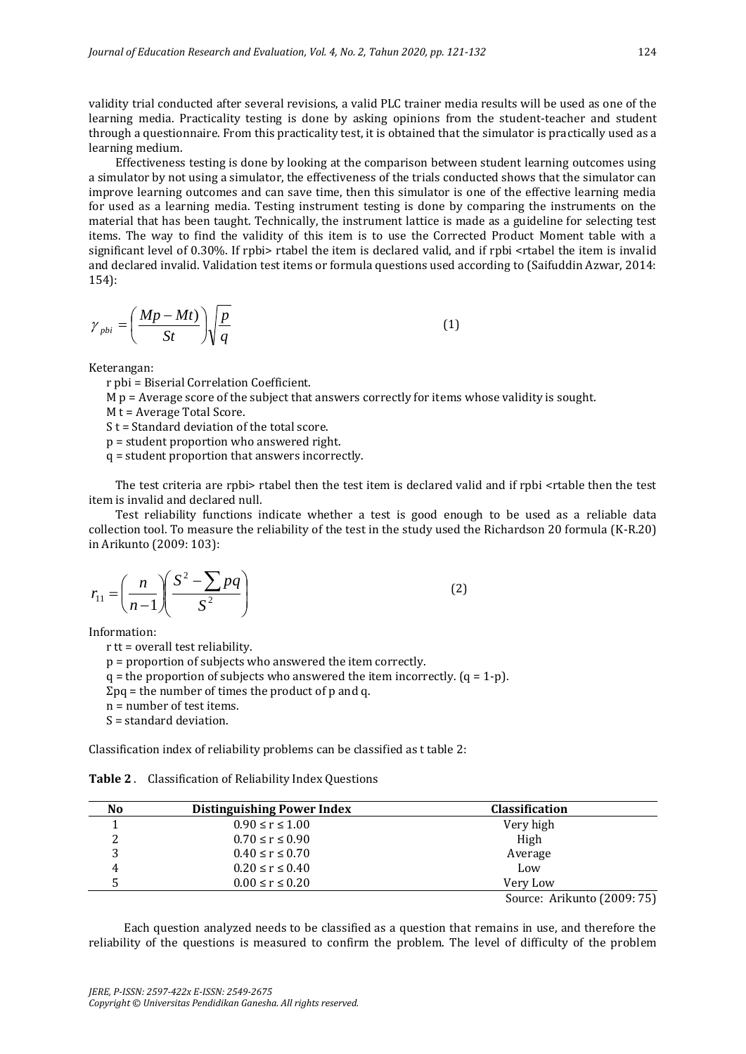validity trial conducted after several revisions, a valid PLC trainer media results will be used as one of the learning media. Practicality testing is done by asking opinions from the student-teacher and student through a questionnaire. From this practicality test, it is obtained that the simulator is practically used as a learning medium.

Effectiveness testing is done by looking at the comparison between student learning outcomes using a simulator by not using a simulator, the effectiveness of the trials conducted shows that the simulator can improve learning outcomes and can save time, then this simulator is one of the effective learning media for used as a learning media. Testing instrument testing is done by comparing the instruments on the material that has been taught. Technically, the instrument lattice is made as a guideline for selecting test items. The way to find the validity of this item is to use the Corrected Product Moment table with a significant level of 0.30%. If rpbi> rtabel the item is declared valid, and if rpbi <rtabel the item is invalid and declared invalid. Validation test items or formula questions used according to (Saifuddin Azwar, 2014: 154):

$$
\gamma_{pbi} = \left(\frac{Mp - Mt}{St}\right)\sqrt{\frac{p}{q}}
$$
 (1)

Keterangan:

r pbi = Biserial Correlation Coefficient.

 $M p = A$ verage score of the subject that answers correctly for items whose validity is sought.

M t = Average Total Score.

S t = Standard deviation of the total score.

p = student proportion who answered right.

q = student proportion that answers incorrectly.

The test criteria are rpbi> rtabel then the test item is declared valid and if rpbi <rtable then the test item is invalid and declared null.

Test reliability functions indicate whether a test is good enough to be used as a reliable data collection tool. To measure the reliability of the test in the study used the Richardson 20 formula (K-R.20) in Arikunto (2009: 103):

$$
r_{11} = \left(\frac{n}{n-1}\right) \left(\frac{S^2 - \sum pq}{S^2}\right) \tag{2}
$$

Information:

r tt = overall test reliability.

p = proportion of subjects who answered the item correctly.

 $q =$  the proportion of subjects who answered the item incorrectly.  $(q = 1-p)$ .

 $\Sigma$ pq = the number of times the product of p and q.

n = number of test items.

S = standard deviation.

Classification index of reliability problems can be classified as t table 2:

**Table 2** . Classification of Reliability Index Questions

| N <sub>0</sub> | <b>Distinguishing Power Index</b> | <b>Classification</b>                                                                                                                                                                                                          |
|----------------|-----------------------------------|--------------------------------------------------------------------------------------------------------------------------------------------------------------------------------------------------------------------------------|
|                | $0.90 \le r \le 1.00$             | Very high                                                                                                                                                                                                                      |
|                | $0.70 \le r \le 0.90$             | High                                                                                                                                                                                                                           |
|                | $0.40 \le r \le 0.70$             | Average                                                                                                                                                                                                                        |
|                | $0.20 \le r \le 0.40$             | Low                                                                                                                                                                                                                            |
|                | $0.00 \le r \le 0.20$             | Very Low                                                                                                                                                                                                                       |
|                |                                   | $C_1$ . $A_2$ $A_3$ $A_4$ $A_5$ $A_6$ $A_7$ $A_8$ $A_9$ $A_1$ $A_2$ $A_3$ $A_1$ $A_2$ $A_3$ $A_4$ $A_5$ $A_7$ $A_8$ $A_9$ $A_1$ $A_2$ $A_3$ $A_4$ $A_5$ $A_7$ $A_8$ $A_9$ $A_1$ $A_2$ $A_3$ $A_4$ $A_5$ $A_7$ $A_8$ $A_9$ $A_$ |

Source: Arikunto (2009: 75)

Each question analyzed needs to be classified as a question that remains in use, and therefore the reliability of the questions is measured to confirm the problem. The level of difficulty of the problem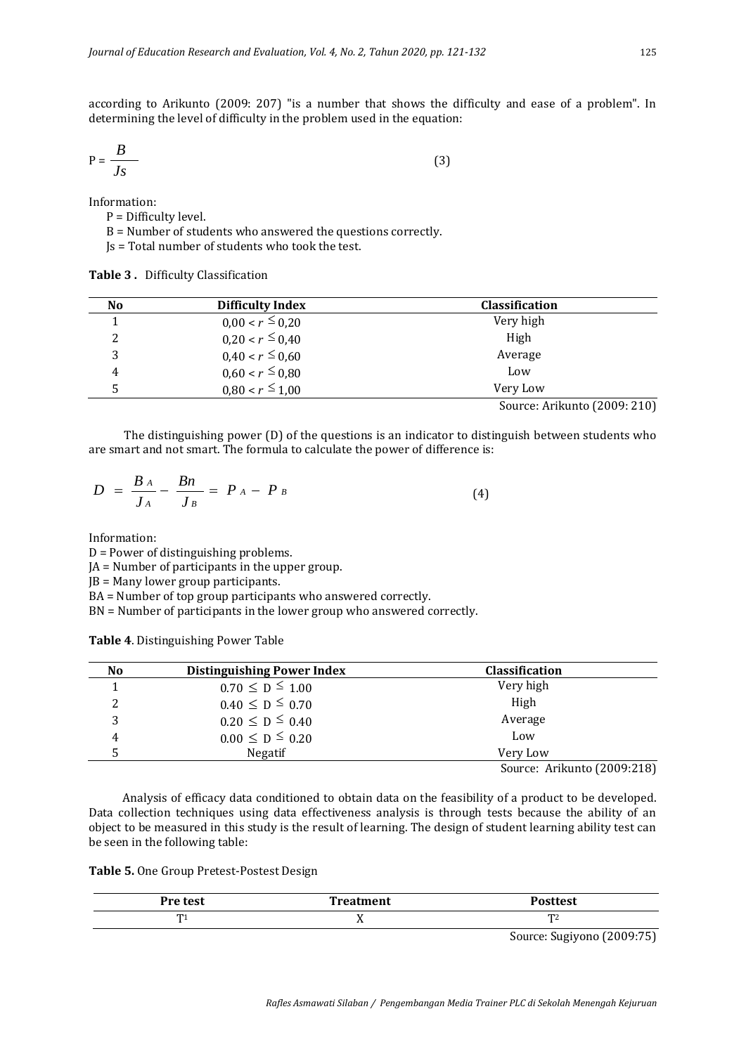according to Arikunto (2009: 207) "is a number that shows the difficulty and ease of a problem". In determining the level of difficulty in the problem used in the equation:

$$
P = \frac{B}{Js} \tag{3}
$$

Information:

P = Difficulty level.

B = Number of students who answered the questions correctly.

Js = Total number of students who took the test.

**Table 3 .** Difficulty Classification

| No | Difficulty Index     | <b>Classification</b> |
|----|----------------------|-----------------------|
|    | $0.00 < r \leq 0.20$ | Very high             |
| ▵  | $0,20 < r \leq 0,40$ | High                  |
|    | $0.40 < r \leq 0.60$ | Average               |
| 4  | $0.60 < r \leq 0.80$ | Low                   |
|    | $0.80 < r \le 1.00$  | Very Low              |
|    |                      |                       |

Source: Arikunto (2009: 210)

The distinguishing power (D) of the questions is an indicator to distinguish between students who are smart and not smart. The formula to calculate the power of difference is:

$$
D = \frac{B_A}{J_A} - \frac{B_n}{J_B} = P_A - P_B \tag{4}
$$

Information:

D = Power of distinguishing problems.

JA = Number of participants in the upper group.

JB = Many lower group participants.

BA = Number of top group participants who answered correctly.

BN = Number of participants in the lower group who answered correctly.

**Table 4**. Distinguishing Power Table

| No | <b>Distinguishing Power Index</b> | <b>Classification</b>                    |
|----|-----------------------------------|------------------------------------------|
|    |                                   | Very high                                |
|    | $0.70 \le D \le 1.00$             |                                          |
|    | $0.40 \le D \le 0.70$             | High                                     |
| 2  | $0.20 \le D \le 0.40$             | Average                                  |
| 4  | $0.00 \leq D \leq 0.20$           | Low                                      |
|    | <b>Negatif</b>                    | Very Low                                 |
|    |                                   | $C_{\text{oumax}}$ , Arilusto (2000.210) |

Source: Arikunto (2009:218)

Analysis of efficacy data conditioned to obtain data on the feasibility of a product to be developed. Data collection techniques using data effectiveness analysis is through tests because the ability of an object to be measured in this study is the result of learning. The design of student learning ability test can be seen in the following table:

| Table 5. One Group Pretest-Postest Design |  |  |  |  |  |
|-------------------------------------------|--|--|--|--|--|
|-------------------------------------------|--|--|--|--|--|

| Pre test | <b>Treatment</b> | <b>Posttest</b> |
|----------|------------------|-----------------|
| m.       | . .              | m               |
|          |                  |                 |

Source: Sugiyono (2009:75)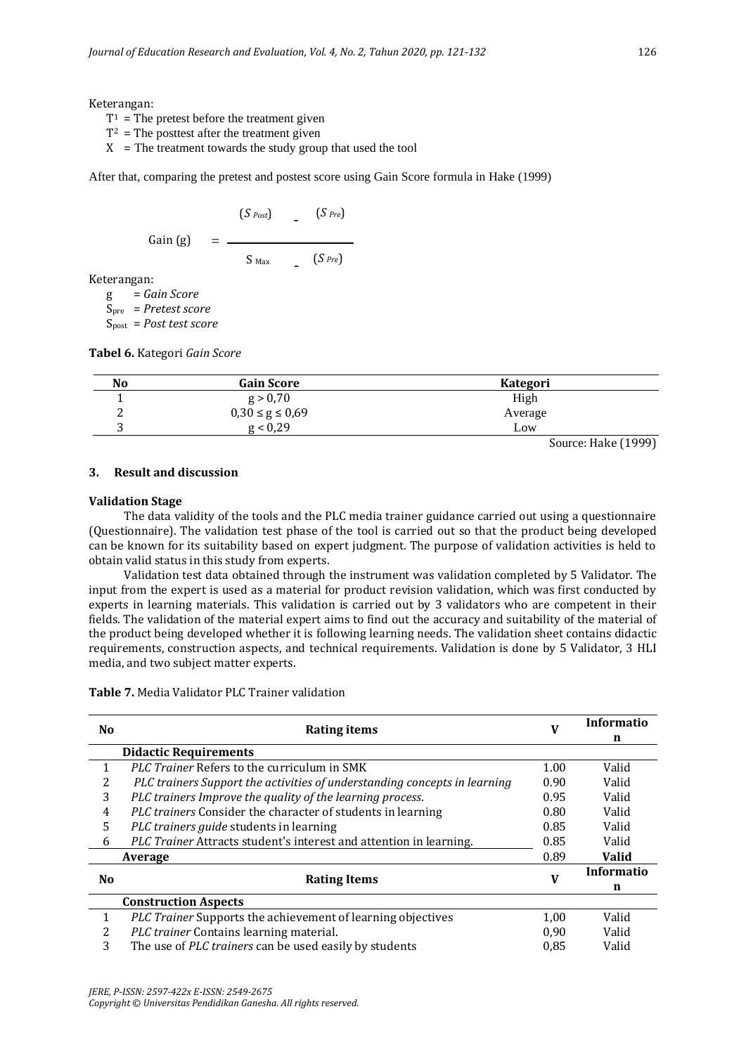Keterangan:

- $T^1$  = The pretest before the treatment given
- $T^2$  = The posttest after the treatment given
- $X =$ The treatment towards the study group that used the tool

After that, comparing the pretest and postest score using Gain Score formula in Hake (1999)

$$
\begin{array}{ccc}\n & (S_{Post}) & - & (S_{Pre}) \\
\text{Gain (g)} & = & - \\
 & & S_{Max} & - & (S_{Pre})\n\end{array}
$$

Keterangan:

g = *Gain Score* Spre = *Pretest score* Spost = *Post test score*

**Tabel 6.** Kategori *Gain Score*

| No | <b>Gain Score</b>     | <b>Kategori</b> |  |
|----|-----------------------|-----------------|--|
|    | g > 0,70              | High            |  |
|    | $0,30 \le g \le 0,69$ | Average         |  |
| ັ  | g < 0.29              | Low             |  |

Source: Hake (1999)

## **3. Result and discussion**

#### **Validation Stage**

The data validity of the tools and the PLC media trainer guidance carried out using a questionnaire (Questionnaire). The validation test phase of the tool is carried out so that the product being developed can be known for its suitability based on expert judgment. The purpose of validation activities is held to obtain valid status in this study from experts.

Validation test data obtained through the instrument was validation completed by 5 Validator. The input from the expert is used as a material for product revision validation, which was first conducted by experts in learning materials. This validation is carried out by 3 validators who are competent in their fields. The validation of the material expert aims to find out the accuracy and suitability of the material of the product being developed whether it is following learning needs. The validation sheet contains didactic requirements, construction aspects, and technical requirements. Validation is done by 5 Validator, 3 HLI media, and two subject matter experts.

**Table 7.** Media Validator PLC Trainer validation

| N <sub>0</sub> | <b>Rating items</b>                                                       |      | Informatio   |
|----------------|---------------------------------------------------------------------------|------|--------------|
|                |                                                                           | v    | n            |
|                | <b>Didactic Requirements</b>                                              |      |              |
|                | <i>PLC Trainer</i> Refers to the curriculum in SMK                        | 1.00 | Valid        |
| 2              | PLC trainers Support the activities of understanding concepts in learning | 0.90 | Valid        |
| 3              | PLC trainers Improve the quality of the learning process.                 | 0.95 | Valid        |
| 4              | PLC trainers Consider the character of students in learning               | 0.80 | Valid        |
| 5              | PLC trainers guide students in learning                                   | 0.85 | Valid        |
| 6              | PLC Trainer Attracts student's interest and attention in learning.        | 0.85 | Valid        |
|                | Average                                                                   | 0.89 | <b>Valid</b> |
| N <sub>0</sub> |                                                                           | V    | Informatio   |
|                | <b>Rating Items</b>                                                       |      | n            |
|                | <b>Construction Aspects</b>                                               |      |              |
| 1              | PLC Trainer Supports the achievement of learning objectives               | 1,00 | Valid        |
| 2              | PLC trainer Contains learning material.                                   | 0,90 | Valid        |
| 3              | The use of PLC trainers can be used easily by students                    | 0.85 | Valid        |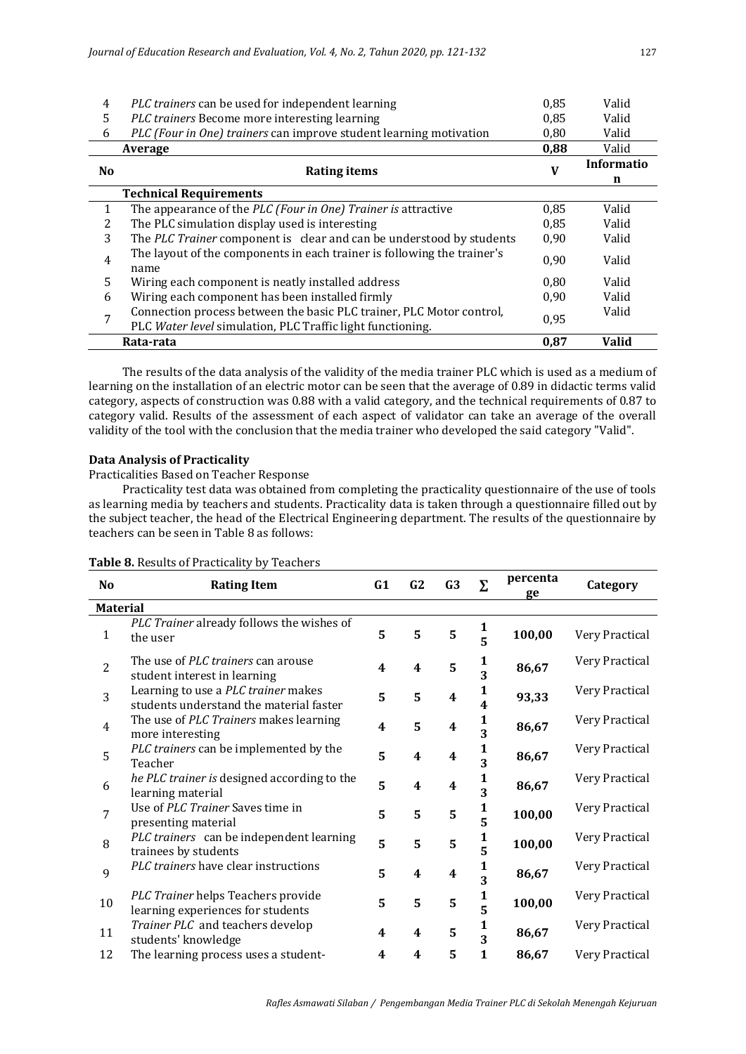| 4              | PLC trainers can be used for independent learning                               | 0,85 | Valid        |
|----------------|---------------------------------------------------------------------------------|------|--------------|
| 5              | PLC trainers Become more interesting learning                                   | 0,85 | Valid        |
| 6              | PLC (Four in One) trainers can improve student learning motivation              | 0,80 | Valid        |
|                | Average                                                                         | 0,88 | Valid        |
| N <sub>0</sub> |                                                                                 | V    | Informatio   |
|                | Rating items                                                                    |      | n            |
|                | <b>Technical Requirements</b>                                                   |      |              |
| 1              | The appearance of the PLC (Four in One) Trainer is attractive                   | 0,85 | Valid        |
| 2              | The PLC simulation display used is interesting                                  | 0.85 | Valid        |
| 3              | The PLC Trainer component is clear and can be understood by students            | 0,90 | Valid        |
| 4              | The layout of the components in each trainer is following the trainer's<br>name | 0.90 | Valid        |
| 5              | Wiring each component is neatly installed address                               | 0.80 | Valid        |
| 6              | Wiring each component has been installed firmly                                 | 0,90 | Valid        |
| 7              | Connection process between the basic PLC trainer, PLC Motor control,            | 0,95 | Valid        |
|                | PLC Water level simulation, PLC Traffic light functioning.                      |      |              |
|                | Rata-rata                                                                       | 0,87 | <b>Valid</b> |

The results of the data analysis of the validity of the media trainer PLC which is used as a medium of learning on the installation of an electric motor can be seen that the average of 0.89 in didactic terms valid category, aspects of construction was 0.88 with a valid category, and the technical requirements of 0.87 to category valid. Results of the assessment of each aspect of validator can take an average of the overall validity of the tool with the conclusion that the media trainer who developed the said category "Valid".

## **Data Analysis of Practicality**

Practicalities Based on Teacher Response

Practicality test data was obtained from completing the practicality questionnaire of the use of tools as learning media by teachers and students. Practicality data is taken through a questionnaire filled out by the subject teacher, the head of the Electrical Engineering department. The results of the questionnaire by teachers can be seen in Table 8 as follows:

| No              | <b>Rating Item</b>                                                             | G1                      | G2                      | G <sub>3</sub>          | Σ                                       | percenta<br>ge | Category       |
|-----------------|--------------------------------------------------------------------------------|-------------------------|-------------------------|-------------------------|-----------------------------------------|----------------|----------------|
| <b>Material</b> |                                                                                |                         |                         |                         |                                         |                |                |
| $\mathbf{1}$    | PLC Trainer already follows the wishes of<br>the user                          | 5                       | 5                       | 5                       | $\frac{1}{5}$                           | 100,00         | Very Practical |
| $\overline{2}$  | The use of <i>PLC trainers</i> can arouse<br>student interest in learning      | 4                       | 4                       | 5                       | $\frac{\bf 1}{\bf 3}$                   | 86,67          | Very Practical |
| 3               | Learning to use a PLC trainer makes<br>students understand the material faster | 5                       | 5                       | $\boldsymbol{4}$        | $\mathbf{1}$<br>$\overline{\mathbf{4}}$ | 93,33          | Very Practical |
| $\overline{4}$  | The use of PLC Trainers makes learning<br>more interesting                     | 4                       | 5                       | 4                       | $\mathbf{1}$<br>$\overline{\mathbf{3}}$ | 86,67          | Very Practical |
| 5               | PLC trainers can be implemented by the<br>Teacher                              | 5                       | 4                       | $\overline{\mathbf{4}}$ | $\frac{1}{3}$                           | 86,67          | Very Practical |
| 6               | he PLC trainer is designed according to the<br>learning material               | 5                       | $\overline{\mathbf{4}}$ | 4                       | $\frac{1}{3}$                           | 86,67          | Very Practical |
| $7\overline{ }$ | Use of PLC Trainer Saves time in<br>presenting material                        | 5                       | 5                       | 5                       | 1<br>5                                  | 100,00         | Very Practical |
| 8               | PLC trainers can be independent learning<br>trainees by students               | 5                       | 5                       | 5                       | 1<br>5                                  | 100,00         | Very Practical |
| 9               | PLC trainers have clear instructions                                           | 5                       | $\overline{\mathbf{4}}$ | 4                       | $\frac{1}{3}$                           | 86,67          | Very Practical |
| 10              | PLC Trainer helps Teachers provide<br>learning experiences for students        | 5                       | 5                       | 5                       | $\frac{1}{5}$                           | 100,00         | Very Practical |
| 11              | Trainer PLC and teachers develop<br>students' knowledge                        | $\overline{\mathbf{4}}$ | 4                       | 5                       | $\frac{1}{3}$                           | 86,67          | Very Practical |
| 12              | The learning process uses a student-                                           | 4                       | 4                       | 5                       | $\mathbf{1}$                            | 86,67          | Very Practical |

## **Table 8.** Results of Practicality by Teachers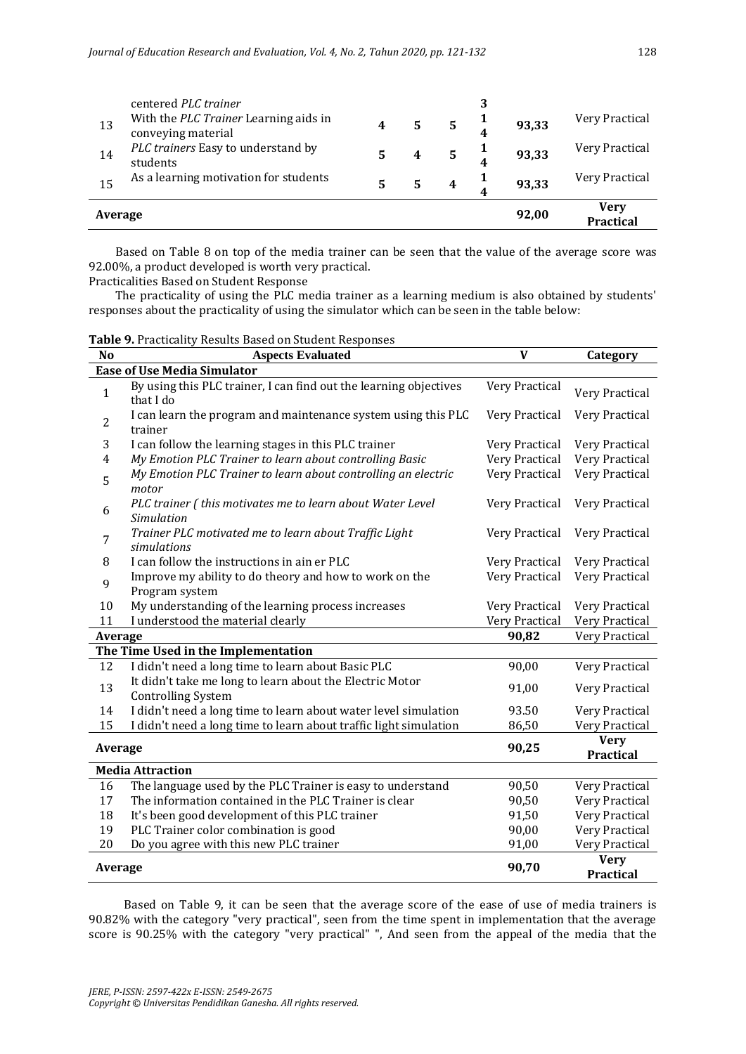| 13      | centered PLC trainer<br>With the PLC Trainer Learning aids in<br>conveying material | 4 | 5 | 93,33 | Very Practical                  |
|---------|-------------------------------------------------------------------------------------|---|---|-------|---------------------------------|
| 14      | PLC trainers Easy to understand by<br>students                                      | 5 |   | 93,33 | Very Practical                  |
| 15      | As a learning motivation for students                                               | 5 |   | 93,33 | Very Practical                  |
| Average |                                                                                     |   |   | 92,00 | <b>Verv</b><br><b>Practical</b> |

Based on Table 8 on top of the media trainer can be seen that the value of the average score was 92.00%, a product developed is worth very practical.

Practicalities Based on Student Response

The practicality of using the PLC media trainer as a learning medium is also obtained by students' responses about the practicality of using the simulator which can be seen in the table below:

**Table 9.** Practicality Results Based on Student Responses

| No                                  | <b>Aspects Evaluated</b>                                                              | V              | Category                        |  |  |  |  |  |  |
|-------------------------------------|---------------------------------------------------------------------------------------|----------------|---------------------------------|--|--|--|--|--|--|
| <b>Ease of Use Media Simulator</b>  |                                                                                       |                |                                 |  |  |  |  |  |  |
| $\mathbf{1}$                        | By using this PLC trainer, I can find out the learning objectives<br>that I do        | Very Practical | Very Practical                  |  |  |  |  |  |  |
| 2                                   | I can learn the program and maintenance system using this PLC<br>trainer              | Very Practical | Very Practical                  |  |  |  |  |  |  |
| 3                                   | I can follow the learning stages in this PLC trainer                                  | Very Practical | Very Practical                  |  |  |  |  |  |  |
| 4                                   | My Emotion PLC Trainer to learn about controlling Basic                               | Very Practical | Very Practical                  |  |  |  |  |  |  |
| 5                                   | My Emotion PLC Trainer to learn about controlling an electric<br>motor                | Very Practical | Very Practical                  |  |  |  |  |  |  |
| 6                                   | PLC trainer (this motivates me to learn about Water Level<br>Simulation               | Very Practical | Very Practical                  |  |  |  |  |  |  |
| 7                                   | Trainer PLC motivated me to learn about Traffic Light<br>simulations                  | Very Practical | Very Practical                  |  |  |  |  |  |  |
| 8                                   | I can follow the instructions in ain er PLC                                           | Very Practical | Very Practical                  |  |  |  |  |  |  |
| 9                                   | Improve my ability to do theory and how to work on the<br>Program system              | Very Practical | Very Practical                  |  |  |  |  |  |  |
| 10                                  | My understanding of the learning process increases                                    | Very Practical | Very Practical                  |  |  |  |  |  |  |
| 11                                  | I understood the material clearly                                                     | Very Practical | Very Practical                  |  |  |  |  |  |  |
| Average                             |                                                                                       | 90,82          | Very Practical                  |  |  |  |  |  |  |
| The Time Used in the Implementation |                                                                                       |                |                                 |  |  |  |  |  |  |
| 12                                  | I didn't need a long time to learn about Basic PLC                                    | 90,00          | Very Practical                  |  |  |  |  |  |  |
| 13                                  | It didn't take me long to learn about the Electric Motor<br><b>Controlling System</b> | 91,00          | Very Practical                  |  |  |  |  |  |  |
| 14                                  | I didn't need a long time to learn about water level simulation                       | 93.50          | Very Practical                  |  |  |  |  |  |  |
| 15                                  | I didn't need a long time to learn about traffic light simulation                     | 86,50          | Very Practical                  |  |  |  |  |  |  |
| Average                             |                                                                                       | 90,25          | <b>Very</b><br><b>Practical</b> |  |  |  |  |  |  |
|                                     | <b>Media Attraction</b>                                                               |                |                                 |  |  |  |  |  |  |
| 16                                  | The language used by the PLC Trainer is easy to understand                            | 90,50          | Very Practical                  |  |  |  |  |  |  |
| 17                                  | The information contained in the PLC Trainer is clear                                 | 90,50          | Very Practical                  |  |  |  |  |  |  |
| 18                                  | It's been good development of this PLC trainer                                        | 91,50          | Very Practical                  |  |  |  |  |  |  |
| 19                                  | PLC Trainer color combination is good                                                 | 90,00          | Very Practical                  |  |  |  |  |  |  |
| 20                                  | Do you agree with this new PLC trainer                                                | 91,00          | Very Practical                  |  |  |  |  |  |  |
| Average                             |                                                                                       | 90,70          | <b>Very</b><br><b>Practical</b> |  |  |  |  |  |  |

Based on Table 9, it can be seen that the average score of the ease of use of media trainers is 90.82% with the category "very practical", seen from the time spent in implementation that the average score is 90.25% with the category "very practical" ", And seen from the appeal of the media that the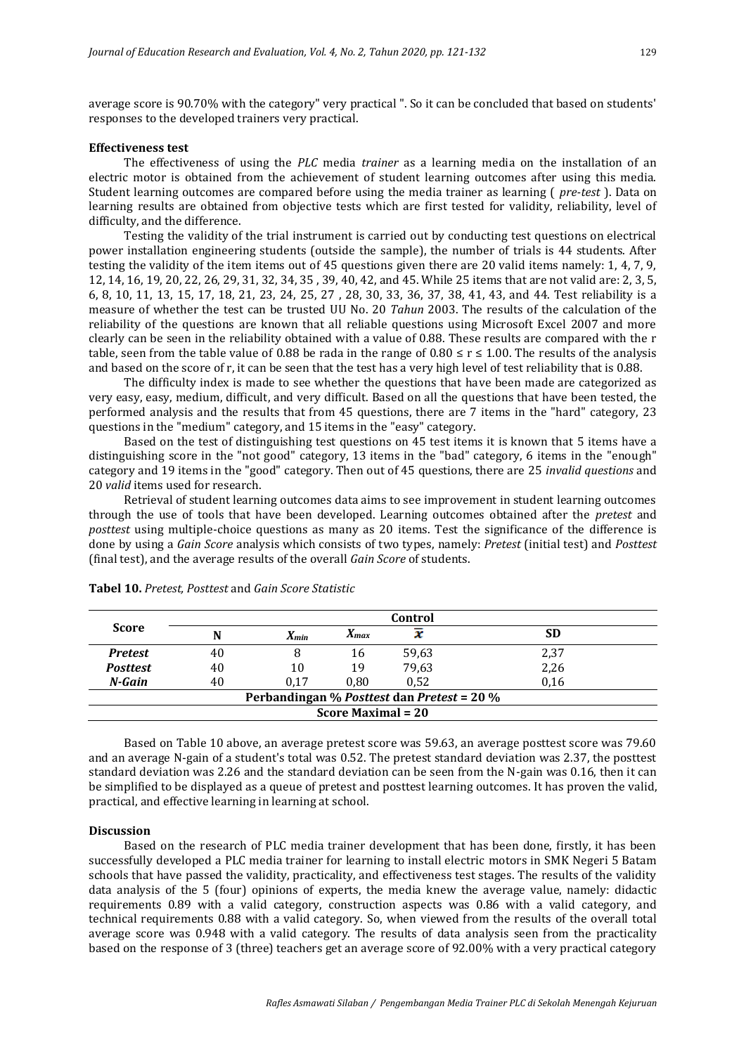average score is 90.70% with the category" very practical ". So it can be concluded that based on students' responses to the developed trainers very practical.

#### **Effectiveness test**

The effectiveness of using the *PLC* media *trainer* as a learning media on the installation of an electric motor is obtained from the achievement of student learning outcomes after using this media. Student learning outcomes are compared before using the media trainer as learning ( *pre-test* ). Data on learning results are obtained from objective tests which are first tested for validity, reliability, level of difficulty, and the difference.

Testing the validity of the trial instrument is carried out by conducting test questions on electrical power installation engineering students (outside the sample), the number of trials is 44 students. After testing the validity of the item items out of 45 questions given there are 20 valid items namely: 1, 4, 7, 9, 12, 14, 16, 19, 20, 22, 26, 29, 31, 32, 34, 35 , 39, 40, 42, and 45. While 25 items that are not valid are: 2, 3, 5, 6, 8, 10, 11, 13, 15, 17, 18, 21, 23, 24, 25, 27 , 28, 30, 33, 36, 37, 38, 41, 43, and 44. Test reliability is a measure of whether the test can be trusted UU No. 20 *Tahun* 2003. The results of the calculation of the reliability of the questions are known that all reliable questions using Microsoft Excel 2007 and more clearly can be seen in the reliability obtained with a value of 0.88. These results are compared with the r table, seen from the table value of 0.88 be rada in the range of  $0.80 \le r \le 1.00$ . The results of the analysis and based on the score of r, it can be seen that the test has a very high level of test reliability that is 0.88.

The difficulty index is made to see whether the questions that have been made are categorized as very easy, easy, medium, difficult, and very difficult. Based on all the questions that have been tested, the performed analysis and the results that from 45 questions, there are 7 items in the "hard" category, 23 questions in the "medium" category, and 15 items in the "easy" category.

Based on the test of distinguishing test questions on 45 test items it is known that 5 items have a distinguishing score in the "not good" category, 13 items in the "bad" category, 6 items in the "enough" category and 19 items in the "good" category. Then out of 45 questions, there are 25 *invalid questions* and 20 *valid* items used for research.

Retrieval of student learning outcomes data aims to see improvement in student learning outcomes through the use of tools that have been developed. Learning outcomes obtained after the *pretest* and *posttest* using multiple-choice questions as many as 20 items. Test the significance of the difference is done by using a *Gain Score* analysis which consists of two types, namely: *Pretest* (initial test) and *Posttest*  (final test), and the average results of the overall *Gain Score* of students.

|                                            | Control |                        |           |       |      |  |  |  |
|--------------------------------------------|---------|------------------------|-----------|-------|------|--|--|--|
| <b>Score</b>                               | N       | $\boldsymbol{X_{min}}$ | $X_{max}$ |       | SD   |  |  |  |
| <b>Pretest</b>                             | 40      |                        | 16        | 59,63 | 2,37 |  |  |  |
| <b>Posttest</b>                            | 40      | 10                     | 19        | 79,63 | 2,26 |  |  |  |
| N-Gain                                     | 40      | 0.17                   | $0.80\,$  | 0.52  | 0.16 |  |  |  |
| Perbandingan % Posttest dan Pretest = 20 % |         |                        |           |       |      |  |  |  |
| <b>Score Maximal = 20</b>                  |         |                        |           |       |      |  |  |  |

**Tabel 10.** *Pretest, Posttest* and *Gain Score Statistic*

Based on Table 10 above, an average pretest score was 59.63, an average posttest score was 79.60 and an average N-gain of a student's total was 0.52. The pretest standard deviation was 2.37, the posttest standard deviation was 2.26 and the standard deviation can be seen from the N-gain was 0.16, then it can be simplified to be displayed as a queue of pretest and posttest learning outcomes. It has proven the valid, practical, and effective learning in learning at school.

### **Discussion**

Based on the research of PLC media trainer development that has been done, firstly, it has been successfully developed a PLC media trainer for learning to install electric motors in SMK Negeri 5 Batam schools that have passed the validity, practicality, and effectiveness test stages. The results of the validity data analysis of the 5 (four) opinions of experts, the media knew the average value, namely: didactic requirements 0.89 with a valid category, construction aspects was 0.86 with a valid category, and technical requirements 0.88 with a valid category. So, when viewed from the results of the overall total average score was 0.948 with a valid category. The results of data analysis seen from the practicality based on the response of 3 (three) teachers get an average score of 92.00% with a very practical category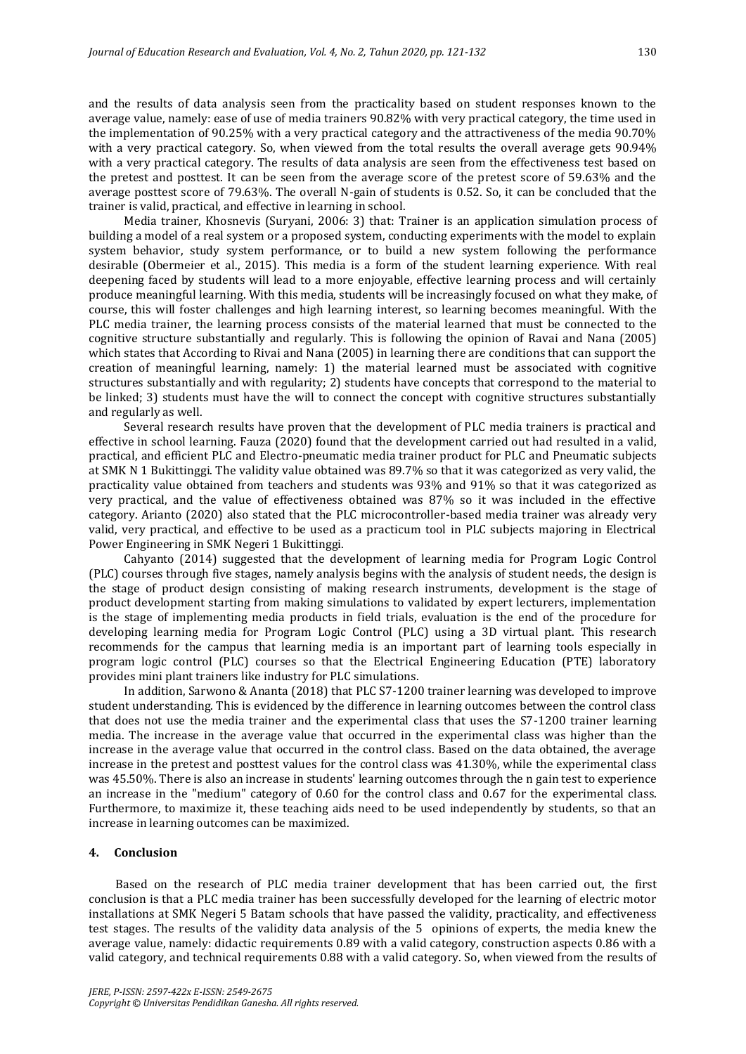and the results of data analysis seen from the practicality based on student responses known to the average value, namely: ease of use of media trainers 90.82% with very practical category, the time used in the implementation of 90.25% with a very practical category and the attractiveness of the media 90.70% with a very practical category. So, when viewed from the total results the overall average gets 90.94% with a very practical category. The results of data analysis are seen from the effectiveness test based on the pretest and posttest. It can be seen from the average score of the pretest score of 59.63% and the average posttest score of 79.63%. The overall N-gain of students is 0.52. So, it can be concluded that the trainer is valid, practical, and effective in learning in school.

Media trainer, Khosnevis (Suryani, 2006: 3) that: Trainer is an application simulation process of building a model of a real system or a proposed system, conducting experiments with the model to explain system behavior, study system performance, or to build a new system following the performance desirable (Obermeier et al., 2015). This media is a form of the student learning experience. With real deepening faced by students will lead to a more enjoyable, effective learning process and will certainly produce meaningful learning. With this media, students will be increasingly focused on what they make, of course, this will foster challenges and high learning interest, so learning becomes meaningful. With the PLC media trainer, the learning process consists of the material learned that must be connected to the cognitive structure substantially and regularly. This is following the opinion of Ravai and Nana (2005) which states that According to Rivai and Nana (2005) in learning there are conditions that can support the creation of meaningful learning, namely: 1) the material learned must be associated with cognitive structures substantially and with regularity; 2) students have concepts that correspond to the material to be linked; 3) students must have the will to connect the concept with cognitive structures substantially and regularly as well.

Several research results have proven that the development of PLC media trainers is practical and effective in school learning. Fauza (2020) found that the development carried out had resulted in a valid, practical, and efficient PLC and Electro-pneumatic media trainer product for PLC and Pneumatic subjects at SMK N 1 Bukittinggi. The validity value obtained was 89.7% so that it was categorized as very valid, the practicality value obtained from teachers and students was 93% and 91% so that it was categorized as very practical, and the value of effectiveness obtained was 87% so it was included in the effective category. Arianto (2020) also stated that the PLC microcontroller-based media trainer was already very valid, very practical, and effective to be used as a practicum tool in PLC subjects majoring in Electrical Power Engineering in SMK Negeri 1 Bukittinggi.

Cahyanto (2014) suggested that the development of learning media for Program Logic Control (PLC) courses through five stages, namely analysis begins with the analysis of student needs, the design is the stage of product design consisting of making research instruments, development is the stage of product development starting from making simulations to validated by expert lecturers, implementation is the stage of implementing media products in field trials, evaluation is the end of the procedure for developing learning media for Program Logic Control (PLC) using a 3D virtual plant. This research recommends for the campus that learning media is an important part of learning tools especially in program logic control (PLC) courses so that the Electrical Engineering Education (PTE) laboratory provides mini plant trainers like industry for PLC simulations.

In addition, Sarwono & Ananta (2018) that PLC S7-1200 trainer learning was developed to improve student understanding. This is evidenced by the difference in learning outcomes between the control class that does not use the media trainer and the experimental class that uses the S7-1200 trainer learning media. The increase in the average value that occurred in the experimental class was higher than the increase in the average value that occurred in the control class. Based on the data obtained, the average increase in the pretest and posttest values for the control class was 41.30%, while the experimental class was 45.50%. There is also an increase in students' learning outcomes through the n gain test to experience an increase in the "medium" category of 0.60 for the control class and 0.67 for the experimental class. Furthermore, to maximize it, these teaching aids need to be used independently by students, so that an increase in learning outcomes can be maximized.

#### **4. Conclusion**

Based on the research of PLC media trainer development that has been carried out, the first conclusion is that a PLC media trainer has been successfully developed for the learning of electric motor installations at SMK Negeri 5 Batam schools that have passed the validity, practicality, and effectiveness test stages. The results of the validity data analysis of the 5 opinions of experts, the media knew the average value, namely: didactic requirements 0.89 with a valid category, construction aspects 0.86 with a valid category, and technical requirements 0.88 with a valid category. So, when viewed from the results of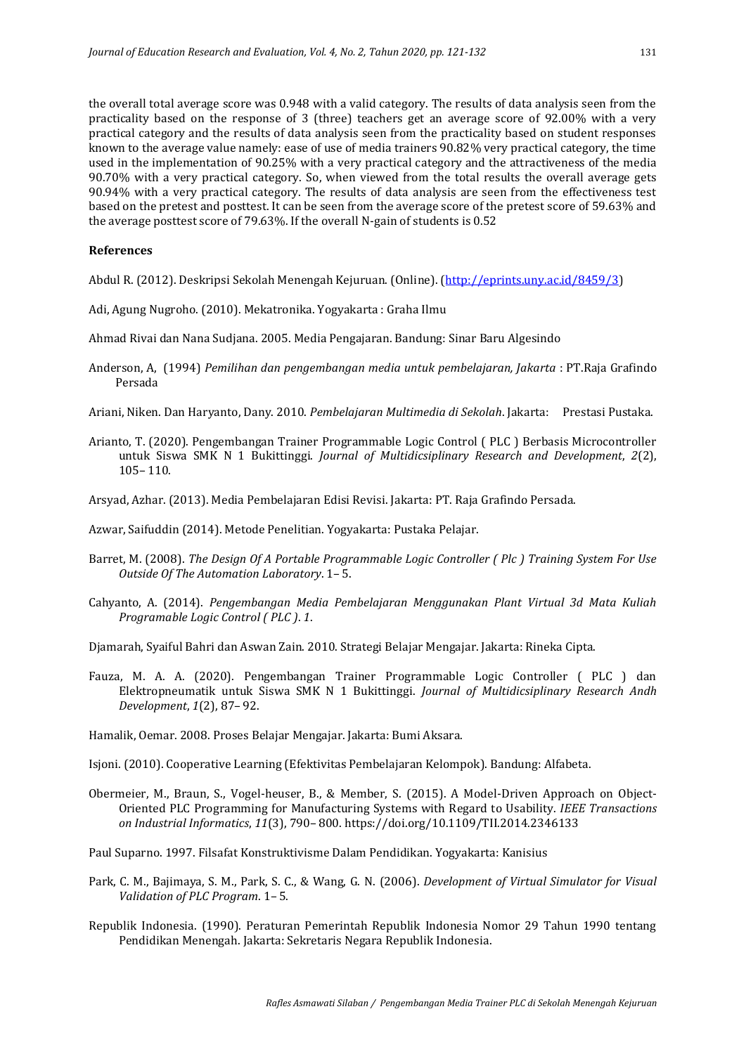the overall total average score was 0.948 with a valid category. The results of data analysis seen from the practicality based on the response of 3 (three) teachers get an average score of 92.00% with a very practical category and the results of data analysis seen from the practicality based on student responses known to the average value namely: ease of use of media trainers 90.82% very practical category, the time used in the implementation of 90.25% with a very practical category and the attractiveness of the media 90.70% with a very practical category. So, when viewed from the total results the overall average gets 90.94% with a very practical category. The results of data analysis are seen from the effectiveness test based on the pretest and posttest. It can be seen from the average score of the pretest score of 59.63% and the average posttest score of 79.63%. If the overall N-gain of students is 0.52

### **References**

Abdul R. (2012). Deskripsi Sekolah Menengah Kejuruan. (Online). [\(http://eprints.uny.ac.id/8459/3\)](http://eprints.uny.ac.id/8459/3)

- Adi, Agung Nugroho. (2010). Mekatronika. Yogyakarta : Graha Ilmu
- Ahmad Rivai dan Nana Sudjana. 2005. Media Pengajaran. Bandung: Sinar Baru Algesindo
- Anderson, A, (1994) *Pemilihan dan pengembangan media untuk pembelajaran, Jakarta* : PT.Raja Grafindo Persada
- Ariani, Niken. Dan Haryanto, Dany. 2010. *Pembelajaran Multimedia di Sekolah*. Jakarta: Prestasi Pustaka.
- Arianto, T. (2020). Pengembangan Trainer Programmable Logic Control ( PLC ) Berbasis Microcontroller untuk Siswa SMK N 1 Bukittinggi. *Journal of Multidicsiplinary Research and Development*, *2*(2), 105– 110.

Arsyad, Azhar. (2013). Media Pembelajaran Edisi Revisi. Jakarta: PT. Raja Grafindo Persada.

Azwar, Saifuddin (2014). Metode Penelitian. Yogyakarta: Pustaka Pelajar.

- Barret, M. (2008). *The Design Of A Portable Programmable Logic Controller ( Plc ) Training System For Use Outside Of The Automation Laboratory*. 1– 5.
- Cahyanto, A. (2014). *Pengembangan Media Pembelajaran Menggunakan Plant Virtual 3d Mata Kuliah Programable Logic Control ( PLC )*. *1*.

Djamarah, Syaiful Bahri dan Aswan Zain. 2010. Strategi Belajar Mengajar. Jakarta: Rineka Cipta.

Fauza, M. A. A. (2020). Pengembangan Trainer Programmable Logic Controller ( PLC ) dan Elektropneumatik untuk Siswa SMK N 1 Bukittinggi. *Journal of Multidicsiplinary Research Andh Development*, *1*(2), 87– 92.

Hamalik, Oemar. 2008. Proses Belajar Mengajar. Jakarta: Bumi Aksara.

Isjoni. (2010). Cooperative Learning (Efektivitas Pembelajaran Kelompok). Bandung: Alfabeta.

Obermeier, M., Braun, S., Vogel-heuser, B., & Member, S. (2015). A Model-Driven Approach on Object-Oriented PLC Programming for Manufacturing Systems with Regard to Usability. *IEEE Transactions on Industrial Informatics*, *11*(3), 790– 800. https://doi.org/10.1109/TII.2014.2346133

Paul Suparno. 1997. Filsafat Konstruktivisme Dalam Pendidikan. Yogyakarta: Kanisius

- Park, C. M., Bajimaya, S. M., Park, S. C., & Wang, G. N. (2006). *Development of Virtual Simulator for Visual Validation of PLC Program*. 1– 5.
- Republik Indonesia. (1990). Peraturan Pemerintah Republik Indonesia Nomor 29 Tahun 1990 tentang Pendidikan Menengah. Jakarta: Sekretaris Negara Republik Indonesia.